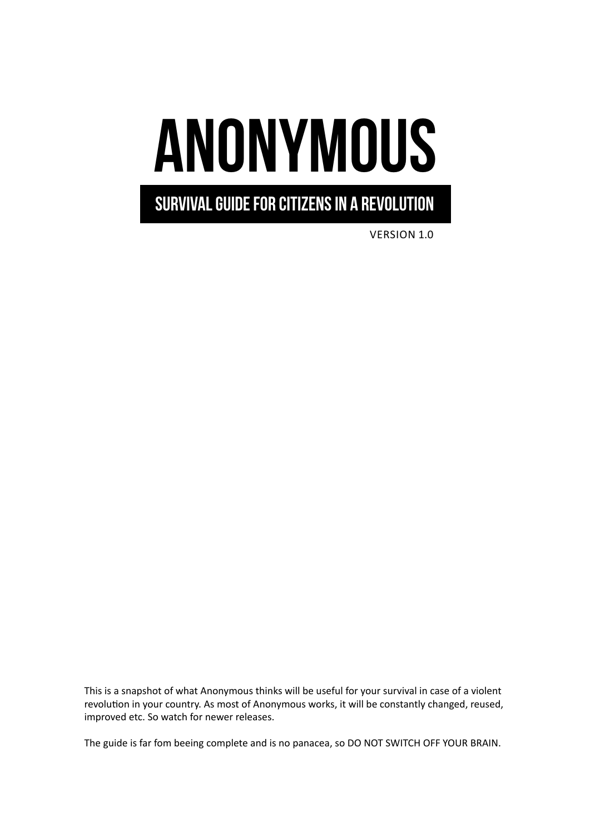# **ANONYMOUS**

## Survival Guide for Citizens in a Revolution

Version 1.0

This is a snapshot of what Anonymous thinks will be useful for your survival in case of a violent revolution in your country. As most of Anonymous works, it will be constantly changed, reused, improved etc. So watch for newer releases.

The guide is far fom beeing complete and is no panacea, so DO NOT SWITCH OFF YOUR BRAIN.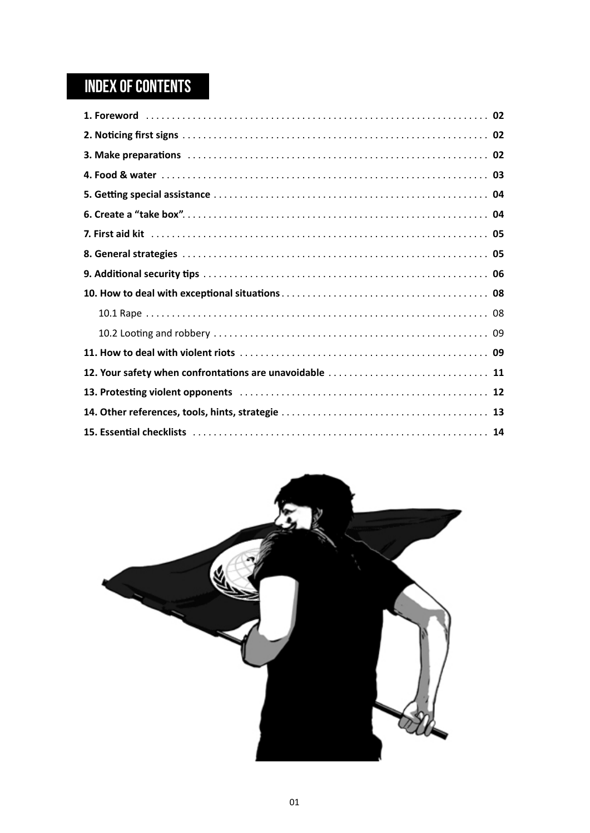## index of contents

| 12. Your safety when confrontations are unavoidable  11 |
|---------------------------------------------------------|
|                                                         |
|                                                         |
|                                                         |

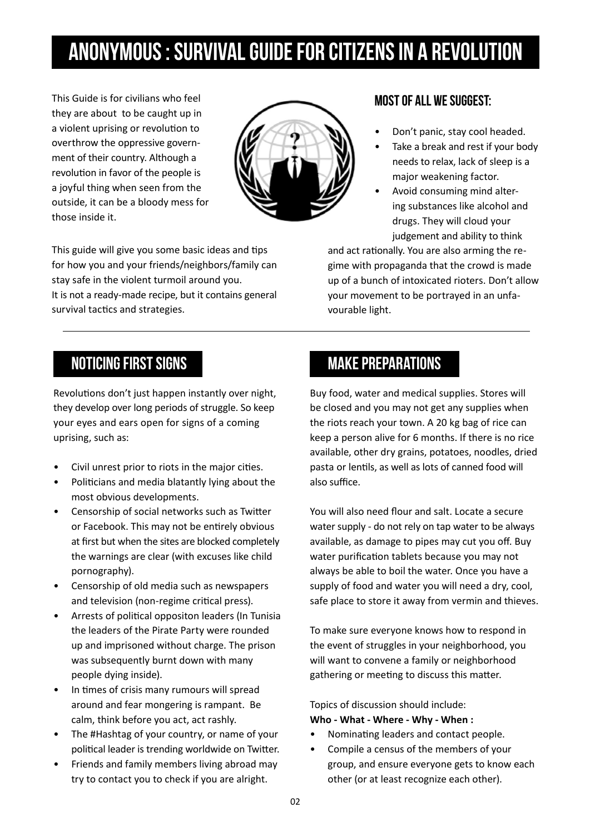# Anonymous : Survival Guide for Citizens in a Revolution

This Guide is for civilians who feel they are about to be caught up in a violent uprising or revolution to overthrow the oppressive government of their country. Although a revolution in favor of the people is a joyful thing when seen from the outside, it can be a bloody mess for those inside it.



This guide will give you some basic ideas and tips for how you and your friends/neighbors/family can stay safe in the violent turmoil around you. It is not a ready-made recipe, but it contains general survival tactics and strategies.

#### Most of all we suggest:

- Don't panic, stay cool headed.
- Take a break and rest if your body needs to relax, lack of sleep is a major weakening factor.
- Avoid consuming mind altering substances like alcohol and drugs. They will cloud your judgement and ability to think

and act rationally. You are also arming the regime with propaganda that the crowd is made up of a bunch of intoxicated rioters. Don't allow your movement to be portrayed in an unfavourable light.

## noticing first signs

Revolutions don't just happen instantly over night, they develop over long periods of struggle. So keep your eyes and ears open for signs of a coming uprising, such as:

- Civil unrest prior to riots in the major cities.
- Politicians and media blatantly lying about the most obvious developments.
- Censorship of social networks such as Twitter or Facebook. This may not be entirely obvious at first but when the sites are blocked completely the warnings are clear (with excuses like child pornography).
- Censorship of old media such as newspapers and television (non-regime critical press).
- Arrests of political oppositon leaders (In Tunisia the leaders of the Pirate Party were rounded up and imprisoned without charge. The prison was subsequently burnt down with many people dying inside).
- In times of crisis many rumours will spread around and fear mongering is rampant. Be calm, think before you act, act rashly.
- The #Hashtag of your country, or name of your political leader is trending worldwide on Twitter.
- Friends and family members living abroad may try to contact you to check if you are alright.

## Make preparations

Buy food, water and medical supplies. Stores will be closed and you may not get any supplies when the riots reach your town. A 20 kg bag of rice can keep a person alive for 6 months. If there is no rice available, other dry grains, potatoes, noodles, dried pasta or lentils, as well as lots of canned food will also suffice.

You will also need flour and salt. Locate a secure water supply - do not rely on tap water to be always available, as damage to pipes may cut you off. Buy water purification tablets because you may not always be able to boil the water. Once you have a supply of food and water you will need a dry, cool, safe place to store it away from vermin and thieves.

To make sure everyone knows how to respond in the event of struggles in your neighborhood, you will want to convene a family or neighborhood gathering or meeting to discuss this matter.

Topics of discussion should include: **Who - What - Where - Why - When :**

- Nominating leaders and contact people.
- Compile a census of the members of your group, and ensure everyone gets to know each other (or at least recognize each other).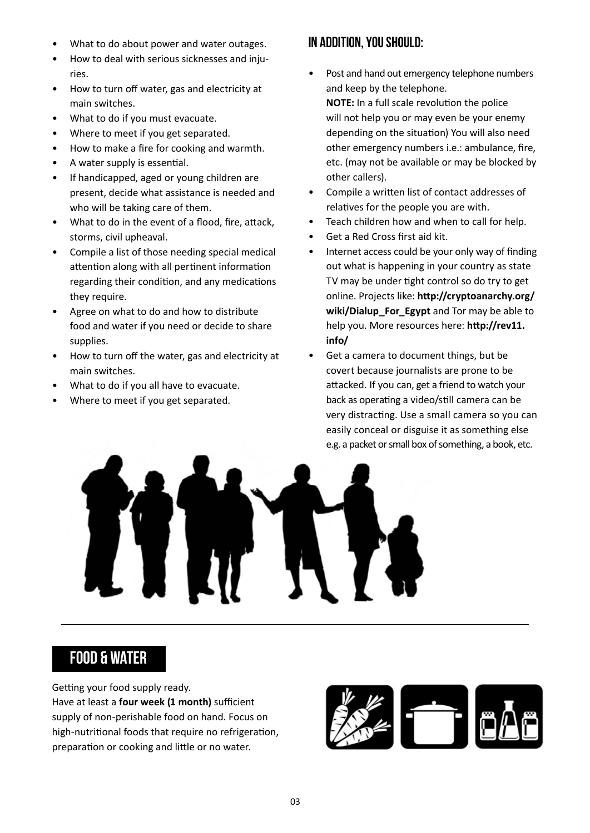- What to do about power and water outages.
- How to deal with serious sicknesses and injuries.
- How to turn off water, gas and electricity at main switches.
- What to do if you must evacuate.
- Where to meet if you get separated.
- How to make a fire for cooking and warmth.
- A water supply is essential.
- If handicapped, aged or young children are present, decide what assistance is needed and who will be taking care of them.
- What to do in the event of a flood, fire, attack, storms, civil upheaval.
- Compile a list of those needing special medical attention along with all pertinent information regarding their condition, and any medications they require.
- Agree on what to do and how to distribute food and water if you need or decide to share supplies.
- How to turn off the water, gas and electricity at main switches.
- What to do if you all have to evacuate.
- Where to meet if you get separated.

#### In addition, you should:

Post and hand out emergency telephone numbers and keep by the telephone.

**NOTE:** In a full scale revolution the police will not help you or may even be your enemy depending on the situation) You will also need other emergency numbers i.e.: ambulance, fire, etc. (may not be available or may be blocked by other callers).

- Compile a written list of contact addresses of relatives for the people you are with.
- Teach children how and when to call for help.
- Get a Red Cross first aid kit.
- Internet access could be your only way of finding out what is happening in your country as state TV may be under tight control so do try to get online. Projects like: **[http://cryptoanarchy.org/](http://cryptoanarchy.org/wiki/Dialup_For_Egypt) [wiki/Dialup\\_For\\_Egypt](http://cryptoanarchy.org/wiki/Dialup_For_Egypt)** and Tor may be able to help you. More resources here: **[http://rev11.](http://rev11.info/) [info/](http://rev11.info/)**
- Get a camera to document things, but be covert because journalists are prone to be attacked. If you can, get a friend to watch your back as operating a video/still camera can be very distracting. Use a small camera so you can easily conceal or disguise it as something else e.g. a packet or small box of something, a book, etc.



#### Food & water

Getting your food supply ready.

Have at least a **four week (1 month)** sufficient supply of non-perishable food on hand. Focus on high-nutritional foods that require no refrigeration, preparation or cooking and little or no water.

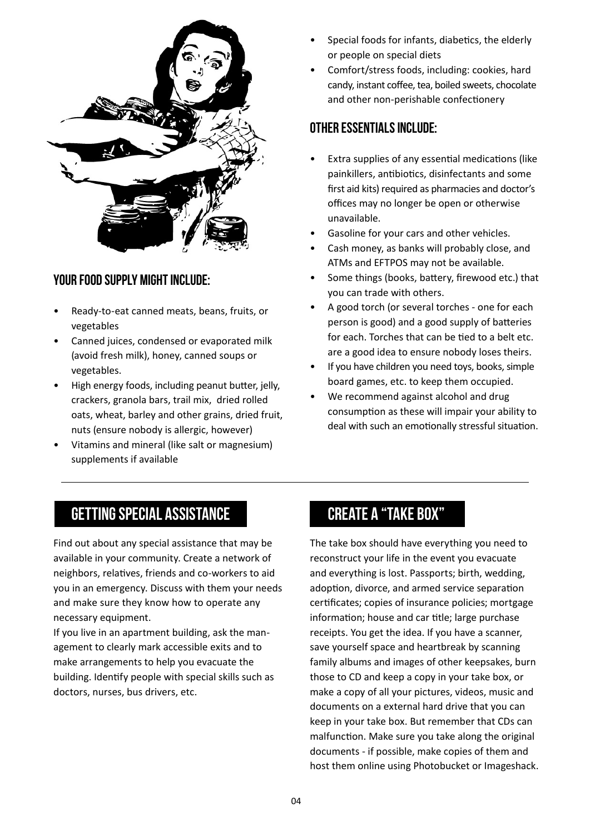

#### Your food supply might include:

- Ready-to-eat canned meats, beans, fruits, or vegetables
- Canned juices, condensed or evaporated milk (avoid fresh milk), honey, canned soups or vegetables.
- High energy foods, including peanut butter, jelly, crackers, granola bars, trail mix, dried rolled oats, wheat, barley and other grains, dried fruit, nuts (ensure nobody is allergic, however)
- Vitamins and mineral (like salt or magnesium) supplements if available
- Special foods for infants, diabetics, the elderly or people on special diets
- Comfort/stress foods, including: cookies, hard candy, instant coffee, tea, boiled sweets, chocolate and other non-perishable confectionery

#### Other essentials include:

- Extra supplies of any essential medications (like painkillers, antibiotics, disinfectants and some first aid kits) required as pharmacies and doctor's offices may no longer be open or otherwise unavailable.
- Gasoline for your cars and other vehicles.
- Cash money, as banks will probably close, and ATMs and EFTPOS may not be available.
- Some things (books, battery, firewood etc.) that you can trade with others.
- A good torch (or several torches one for each person is good) and a good supply of batteries for each. Torches that can be tied to a belt etc. are a good idea to ensure nobody loses theirs.
- If you have children you need toys, books, simple board games, etc. to keep them occupied.
- We recommend against alcohol and drug consumption as these will impair your ability to deal with such an emotionally stressful situation.

#### getting special assistance

Find out about any special assistance that may be available in your community. Create a network of neighbors, relatives, friends and co-workers to aid you in an emergency. Discuss with them your needs and make sure they know how to operate any necessary equipment.

If you live in an apartment building, ask the management to clearly mark accessible exits and to make arrangements to help you evacuate the building. Identify people with special skills such as doctors, nurses, bus drivers, etc.

## create a "take box"

The take box should have everything you need to reconstruct your life in the event you evacuate and everything is lost. Passports; birth, wedding, adoption, divorce, and armed service separation certificates; copies of insurance policies; mortgage information; house and car title; large purchase receipts. You get the idea. If you have a scanner, save yourself space and heartbreak by scanning family albums and images of other keepsakes, burn those to CD and keep a copy in your take box, or make a copy of all your pictures, videos, music and documents on a external hard drive that you can keep in your take box. But remember that CDs can malfunction. Make sure you take along the original documents - if possible, make copies of them and host them online using Photobucket or Imageshack.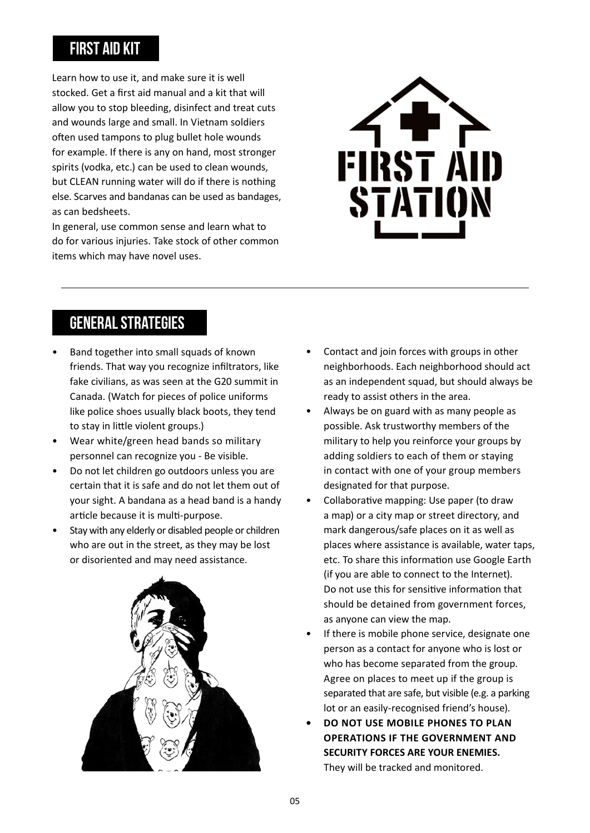## First aid kit

Learn how to use it, and make sure it is well stocked. Get a first aid manual and a kit that will allow you to stop bleeding, disinfect and treat cuts and wounds large and small. In Vietnam soldiers often used tampons to plug bullet hole wounds for example. If there is any on hand, most stronger spirits (vodka, etc.) can be used to clean wounds, but CLEAN running water will do if there is nothing else. Scarves and bandanas can be used as bandages, as can bedsheets.

In general, use common sense and learn what to do for various injuries. Take stock of other common items which may have novel uses.



## general strategies

- Band together into small squads of known friends. That way you recognize infiltrators, like fake civilians, as was seen at the G20 summit in Canada. (Watch for pieces of police uniforms like police shoes usually black boots, they tend to stay in little violent groups.)
- Wear white/green head bands so military personnel can recognize you - Be visible.
- Do not let children go outdoors unless you are certain that it is safe and do not let them out of your sight. A bandana as a head band is a handy article because it is multi-purpose.
- Stay with any elderly or disabled people or children who are out in the street, as they may be lost or disoriented and may need assistance.



- Contact and join forces with groups in other neighborhoods. Each neighborhood should act as an independent squad, but should always be ready to assist others in the area.
- Always be on guard with as many people as possible. Ask trustworthy members of the military to help you reinforce your groups by adding soldiers to each of them or staying in contact with one of your group members designated for that purpose.
- Collaborative mapping: Use paper (to draw a map) or a city map or street directory, and mark dangerous/safe places on it as well as places where assistance is available, water taps, etc. To share this information use Google Earth (if you are able to connect to the Internet). Do not use this for sensitive information that should be detained from government forces, as anyone can view the map.
- If there is mobile phone service, designate one person as a contact for anyone who is lost or who has become separated from the group. Agree on places to meet up if the group is separated that are safe, but visible (e.g. a parking lot or an easily-recognised friend's house).
- **• DO NOT USE MOBILE PHONES TO PLAN OPERATIONS IF THE GOVERNMENT AND SECURITY FORCES ARE YOUR ENEMIES.**  They will be tracked and monitored.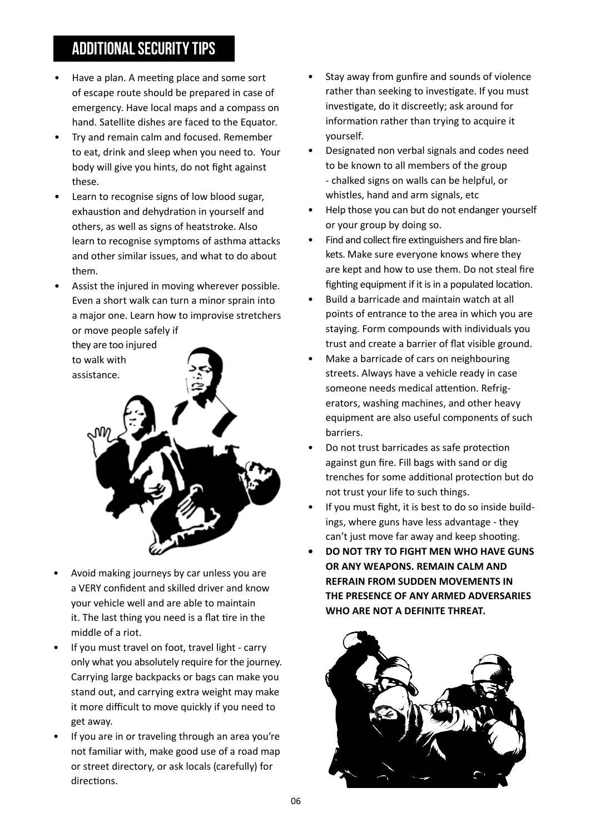## additional security tips

- Have a plan. A meeting place and some sort of escape route should be prepared in case of emergency. Have local maps and a compass on hand. Satellite dishes are faced to the Equator.
- Try and remain calm and focused. Remember to eat, drink and sleep when you need to. Your body will give you hints, do not fight against these.
- Learn to recognise signs of low blood sugar, exhaustion and dehydration in yourself and others, as well as signs of heatstroke. Also learn to recognise symptoms of asthma attacks and other similar issues, and what to do about them.
- Assist the injured in moving wherever possible. Even a short walk can turn a minor sprain into a major one. Learn how to improvise stretchers or move people safely if they are too injured



- Avoid making journeys by car unless you are a VERY confident and skilled driver and know your vehicle well and are able to maintain it. The last thing you need is a flat tire in the middle of a riot.
- If you must travel on foot, travel light carry only what you absolutely require for the journey. Carrying large backpacks or bags can make you stand out, and carrying extra weight may make it more difficult to move quickly if you need to get away.
- If you are in or traveling through an area you're not familiar with, make good use of a road map or street directory, or ask locals (carefully) for directions.
- Stay away from gunfire and sounds of violence rather than seeking to investigate. If you must investigate, do it discreetly; ask around for information rather than trying to acquire it yourself.
- Designated non verbal signals and codes need to be known to all members of the group - chalked signs on walls can be helpful, or whistles, hand and arm signals, etc
- Help those you can but do not endanger yourself or your group by doing so.
- Find and collect fire extinguishers and fire blankets. Make sure everyone knows where they are kept and how to use them. Do not steal fire fighting equipment if it is in a populated location.
- Build a barricade and maintain watch at all points of entrance to the area in which you are staying. Form compounds with individuals you trust and create a barrier of flat visible ground.
- Make a barricade of cars on neighbouring streets. Always have a vehicle ready in case someone needs medical attention. Refrigerators, washing machines, and other heavy equipment are also useful components of such barriers.
- Do not trust barricades as safe protection against gun fire. Fill bags with sand or dig trenches for some additional protection but do not trust your life to such things.
- If you must fight, it is best to do so inside buildings, where guns have less advantage - they can't just move far away and keep shooting.
- **• DO NOT TRY TO FIGHT MEN WHO HAVE GUNS OR ANY WEAPONS. REMAIN CALM AND REFRAIN FROM SUDDEN MOVEMENTS IN THE PRESENCE OF ANY ARMED ADVERSARIES WHO ARE NOT A DEFINITE THREAT.**

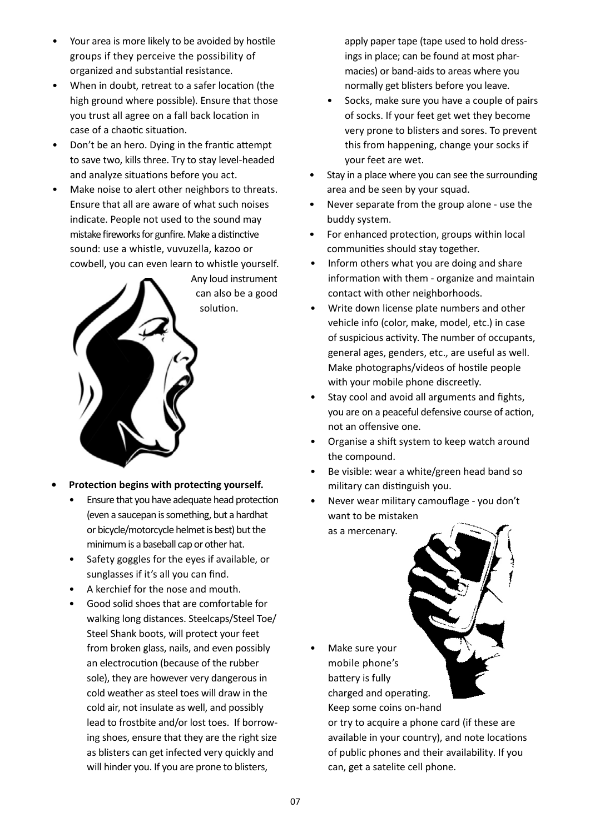- Your area is more likely to be avoided by hostile groups if they perceive the possibility of organized and substantial resistance.
- When in doubt, retreat to a safer location (the high ground where possible). Ensure that those you trust all agree on a fall back location in case of a chaotic situation.
- Don't be an hero. Dying in the frantic attempt to save two, kills three. Try to stay level-headed and analyze situations before you act.
- Make noise to alert other neighbors to threats. Ensure that all are aware of what such noises indicate. People not used to the sound may mistake fireworks for gunfire. Make a distinctive sound: use a whistle, vuvuzella, kazoo or cowbell, you can even learn to whistle yourself.



#### **• Protection begins with protecting yourself.**

- Ensure that you have adequate head protection (even a saucepan is something, but a hardhat or bicycle/motorcycle helmet is best) but the minimum is a baseball cap or other hat.
- Safety goggles for the eyes if available, or sunglasses if it's all you can find.
- A kerchief for the nose and mouth.
- Good solid shoes that are comfortable for walking long distances. Steelcaps/Steel Toe/ Steel Shank boots, will protect your feet from broken glass, nails, and even possibly an electrocution (because of the rubber sole), they are however very dangerous in cold weather as steel toes will draw in the cold air, not insulate as well, and possibly lead to frostbite and/or lost toes. If borrowing shoes, ensure that they are the right size as blisters can get infected very quickly and will hinder you. If you are prone to blisters,

apply paper tape (tape used to hold dressings in place; can be found at most pharmacies) or band-aids to areas where you normally get blisters before you leave.

- Socks, make sure you have a couple of pairs of socks. If your feet get wet they become very prone to blisters and sores. To prevent this from happening, change your socks if your feet are wet.
- Stay in a place where you can see the surrounding area and be seen by your squad.
- Never separate from the group alone use the buddy system.
- For enhanced protection, groups within local communities should stay together.
- Inform others what you are doing and share information with them - organize and maintain contact with other neighborhoods.
- Write down license plate numbers and other vehicle info (color, make, model, etc.) in case of suspicious activity. The number of occupants, general ages, genders, etc., are useful as well. Make photographs/videos of hostile people with your mobile phone discreetly.
- Stay cool and avoid all arguments and fights, you are on a peaceful defensive course of action, not an offensive one.
- Organise a shift system to keep watch around the compound.
- Be visible: wear a white/green head band so military can distinguish you.
- Never wear military camouflage you don't want to be mistaken as a mercenary.

• Make sure your mobile phone's battery is fully charged and operating. Keep some coins on-hand

> or try to acquire a phone card (if these are available in your country), and note locations of public phones and their availability. If you can, get a satelite cell phone.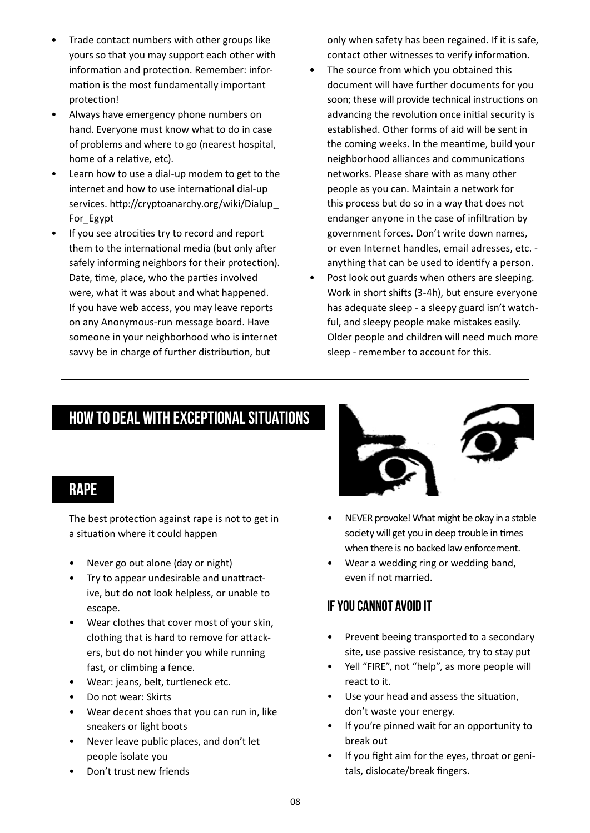- Trade contact numbers with other groups like yours so that you may support each other with information and protection. Remember: information is the most fundamentally important protection!
- Always have emergency phone numbers on hand. Everyone must know what to do in case of problems and where to go (nearest hospital, home of a relative, etc).
- Learn how to use a dial-up modem to get to the internet and how to use international dial-up services. http://cryptoanarchy.org/wiki/Dialup\_ For\_Egypt
- If you see atrocities try to record and report them to the international media (but only after safely informing neighbors for their protection). Date, time, place, who the parties involved were, what it was about and what happened. If you have web access, you may leave reports on any Anonymous-run message board. Have someone in your neighborhood who is internet savvy be in charge of further distribution, but

only when safety has been regained. If it is safe, contact other witnesses to verify information.

- The source from which you obtained this document will have further documents for you soon; these will provide technical instructions on advancing the revolution once initial security is established. Other forms of aid will be sent in the coming weeks. In the meantime, build your neighborhood alliances and communications networks. Please share with as many other people as you can. Maintain a network for this process but do so in a way that does not endanger anyone in the case of infiltration by government forces. Don't write down names, or even Internet handles, email adresses, etc. anything that can be used to identify a person.
- Post look out guards when others are sleeping. Work in short shifts (3-4h), but ensure everyone has adequate sleep - a sleepy guard isn't watchful, and sleepy people make mistakes easily. Older people and children will need much more sleep - remember to account for this.

## how to deal with exceptional situations

#### **RAPE**

The best protection against rape is not to get in a situation where it could happen

- Never go out alone (day or night)
- Try to appear undesirable and unattractive, but do not look helpless, or unable to escape.
- Wear clothes that cover most of your skin, clothing that is hard to remove for attackers, but do not hinder you while running fast, or climbing a fence.
- Wear: jeans, belt, turtleneck etc.
- Do not wear: Skirts
- Wear decent shoes that you can run in, like sneakers or light boots
- Never leave public places, and don't let people isolate you
- Don't trust new friends



- NEVER provoke! What might be okay in a stable society will get you in deep trouble in times when there is no backed law enforcement.
- Wear a wedding ring or wedding band, even if not married.

#### If you cannot avoid it

- Prevent beeing transported to a secondary site, use passive resistance, try to stay put
- Yell "FIRE", not "help", as more people will react to it.
- Use your head and assess the situation, don't waste your energy.
- If you're pinned wait for an opportunity to break out
- If you fight aim for the eyes, throat or genitals, dislocate/break fingers.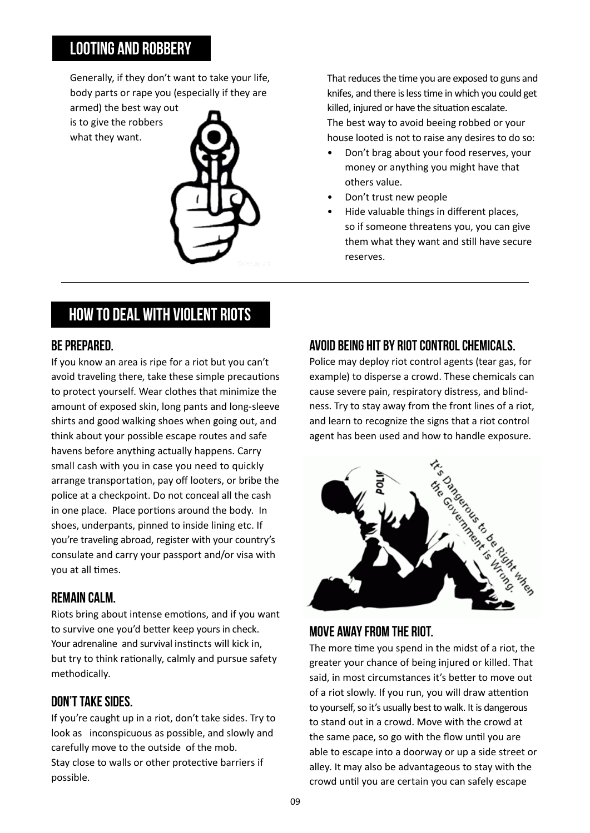## looting and robbery

Generally, if they don't want to take your life, body parts or rape you (especially if they are

armed) the best way out is to give the robbers what they want.



That reduces the time you are exposed to guns and knifes, and there is less time in which you could get killed, injured or have the situation escalate. The best way to avoid beeing robbed or your house looted is not to raise any desires to do so:

- Don't brag about your food reserves, your money or anything you might have that others value.
- Don't trust new people
- Hide valuable things in different places, so if someone threatens you, you can give them what they want and still have secure reserves.

## HOW TO DEAL WITH VIOLENT RIOTS

#### Be prepared.

If you know an area is ripe for a riot but you can't avoid traveling there, take these simple precautions to protect yourself. Wear clothes that minimize the amount of exposed skin, long pants and long-sleeve shirts and good walking shoes when going out, and think about your possible escape routes and safe havens before anything actually happens. Carry small cash with you in case you need to quickly arrange transportation, pay off looters, or bribe the police at a checkpoint. Do not conceal all the cash in one place. Place portions around the body. In shoes, underpants, pinned to inside lining etc. If you're traveling abroad, register with your country's consulate and carry your passport and/or visa with you at all times.

#### Remain calm.

Riots bring about intense emotions, and if you want to survive one you'd better keep yours in check. Your adrenaline and survival instincts will kick in, but try to think rationally, calmly and pursue safety methodically.

#### Don't take Sides.

If you're caught up in a riot, don't take sides. Try to look as inconspicuous as possible, and slowly and carefully move to the outside of the mob. Stay close to walls or other protective barriers if possible.

#### Avoid being hit by riot control chemicals.

Police may deploy riot control agents (tear gas, for example) to disperse a crowd. These chemicals can cause severe pain, respiratory distress, and blindness. Try to stay away from the front lines of a riot, and learn to recognize the signs that a riot control agent has been used and how to handle exposure.



#### Move away from the riot.

The more time you spend in the midst of a riot, the greater your chance of being injured or killed. That said, in most circumstances it's better to move out of a riot slowly. If you run, you will draw attention to yourself, so it's usually best to walk. It is dangerous to stand out in a crowd. Move with the crowd at the same pace, so go with the flow until you are able to escape into a doorway or up a side street or alley. It may also be advantageous to stay with the crowd until you are certain you can safely escape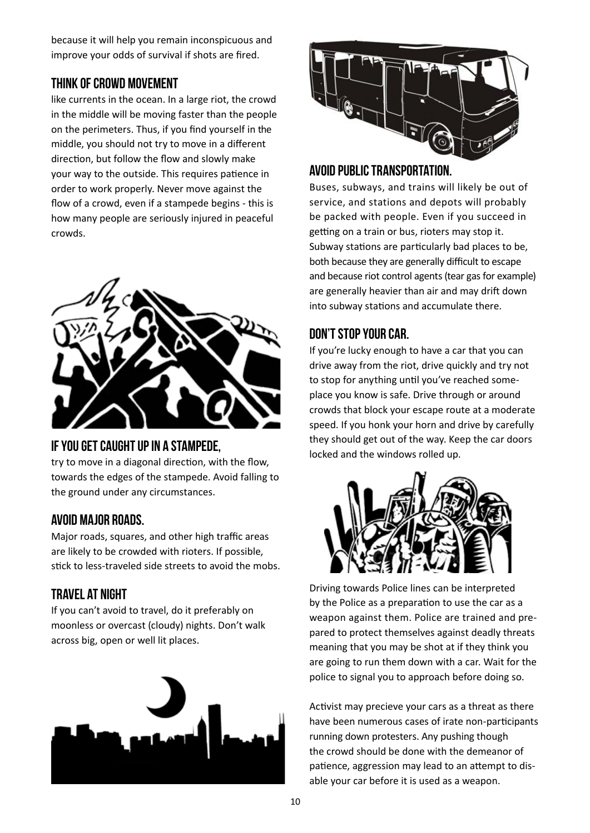because it will help you remain inconspicuous and improve your odds of survival if shots are fired.

#### Think of crowd movement

like currents in the ocean. In a large riot, the crowd in the middle will be moving faster than the people on the perimeters. Thus, if you find yourself in the middle, you should not try to move in a different direction, but follow the flow and slowly make your way to the outside. This requires patience in order to work properly. Never move against the flow of a crowd, even if a stampede begins - this is how many people are seriously injured in peaceful crowds.



#### If you get caught up in a stampede,

try to move in a diagonal direction, with the flow, towards the edges of the stampede. Avoid falling to the ground under any circumstances.

#### Avoid major roads.

Major roads, squares, and other high traffic areas are likely to be crowded with rioters. If possible, stick to less-traveled side streets to avoid the mobs.

#### Travel at night

If you can't avoid to travel, do it preferably on moonless or overcast (cloudy) nights. Don't walk across big, open or well lit places.





#### Avoid public transportation.

Buses, subways, and trains will likely be out of service, and stations and depots will probably be packed with people. Even if you succeed in getting on a train or bus, rioters may stop it. Subway stations are particularly bad places to be, both because they are generally difficult to escape and because riot control agents (tear gas for example) are generally heavier than air and may drift down into subway stations and accumulate there.

#### Don't stop your car.

If you're lucky enough to have a car that you can drive away from the riot, drive quickly and try not to stop for anything until you've reached someplace you know is safe. Drive through or around crowds that block your escape route at a moderate speed. If you honk your horn and drive by carefully they should get out of the way. Keep the car doors locked and the windows rolled up.



Driving towards Police lines can be interpreted by the Police as a preparation to use the car as a weapon against them. Police are trained and prepared to protect themselves against deadly threats meaning that you may be shot at if they think you are going to run them down with a car. Wait for the police to signal you to approach before doing so.

Activist may precieve your cars as a threat as there have been numerous cases of irate non-participants running down protesters. Any pushing though the crowd should be done with the demeanor of patience, aggression may lead to an attempt to disable your car before it is used as a weapon.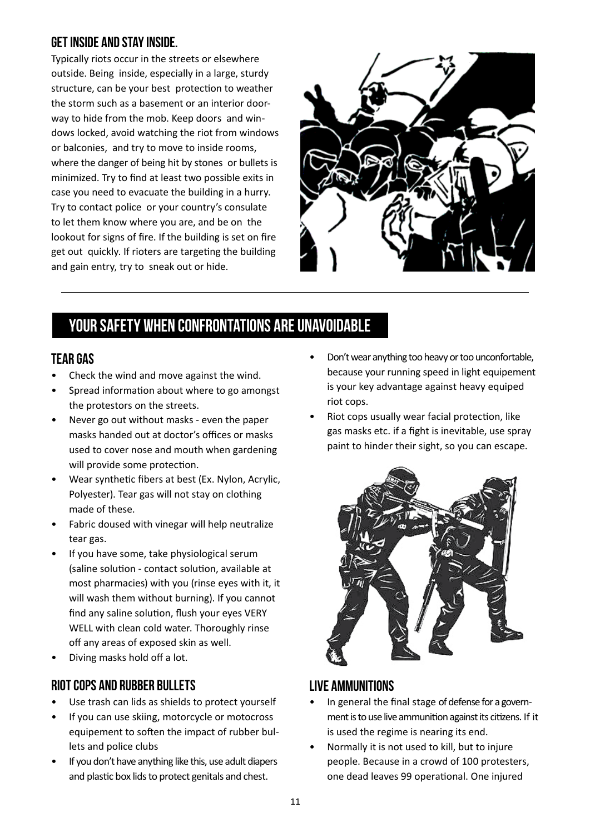#### Get inside and stay inside.

Typically riots occur in the streets or elsewhere outside. Being inside, especially in a large, sturdy structure, can be your best protection to weather the storm such as a basement or an interior doorway to hide from the mob. Keep doors and windows locked, avoid watching the riot from windows or balconies, and try to move to inside rooms, where the danger of being hit by stones or bullets is minimized. Try to find at least two possible exits in case you need to evacuate the building in a hurry. Try to contact police or your country's consulate to let them know where you are, and be on the lookout for signs of fire. If the building is set on fire get out quickly. If rioters are targeting the building and gain entry, try to sneak out or hide.



## your safety when confrontations are unavoidable

#### Tear gas

- Check the wind and move against the wind.
- Spread information about where to go amongst the protestors on the streets.
- Never go out without masks even the paper masks handed out at doctor's offices or masks used to cover nose and mouth when gardening will provide some protection.
- Wear synthetic fibers at best (Ex. Nylon, Acrylic, Polyester). Tear gas will not stay on clothing made of these.
- Fabric doused with vinegar will help neutralize tear gas.
- If you have some, take physiological serum (saline solution - contact solution, available at most pharmacies) with you (rinse eyes with it, it will wash them without burning). If you cannot find any saline solution, flush your eyes VERY WELL with clean cold water. Thoroughly rinse off any areas of exposed skin as well.
- Diving masks hold off a lot.

#### Riot cops and Rubber Bullets

- Use trash can lids as shields to protect yourself
- If you can use skiing, motorcycle or motocross equipement to soften the impact of rubber bullets and police clubs
- If you don't have anything like this, use adult diapers and plastic box lids to protect genitals and chest.
- Don't wear anything too heavy or too unconfortable, because your running speed in light equipement is your key advantage against heavy equiped riot cops.
- Riot cops usually wear facial protection, like gas masks etc. if a fight is inevitable, use spray paint to hinder their sight, so you can escape.



#### Live Ammunitions

- In general the final stage of defense for a government is to use live ammunition against its citizens. If it is used the regime is nearing its end.
- Normally it is not used to kill, but to injure people. Because in a crowd of 100 protesters, one dead leaves 99 operational. One injured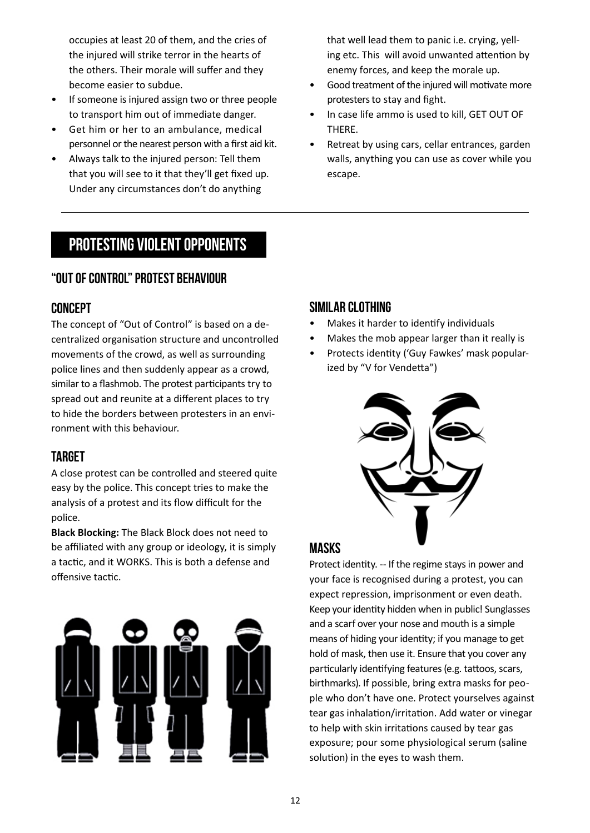occupies at least 20 of them, and the cries of the injured will strike terror in the hearts of the others. Their morale will suffer and they become easier to subdue.

- If someone is injured assign two or three people to transport him out of immediate danger.
- Get him or her to an ambulance, medical personnel or the nearest person with a first aid kit.
- Always talk to the injured person: Tell them that you will see to it that they'll get fixed up. Under any circumstances don't do anything

that well lead them to panic i.e. crying, yelling etc. This will avoid unwanted attention by enemy forces, and keep the morale up.

- Good treatment of the injured will motivate more protesters to stay and fight.
- In case life ammo is used to kill, GET OUT OF THERE.
- Retreat by using cars, cellar entrances, garden walls, anything you can use as cover while you escape.

## Protesting violent opponents

#### "Out of Control" protest behaviour

#### **CONCEPT**

The concept of "Out of Control" is based on a decentralized organisation structure and uncontrolled movements of the crowd, as well as surrounding police lines and then suddenly appear as a crowd, similar to a flashmob. The protest participants try to spread out and reunite at a different places to try to hide the borders between protesters in an environment with this behaviour.

#### **TARGFT**

A close protest can be controlled and steered quite easy by the police. This concept tries to make the analysis of a protest and its flow difficult for the police.

**Black Blocking:** The Black Block does not need to be affiliated with any group or ideology, it is simply a tactic, and it WORKS. This is both a defense and offensive tactic.



#### Similar clothing

- Makes it harder to identify individuals
- Makes the mob appear larger than it really is
- Protects identity ('Guy Fawkes' mask popularized by "V for Vendetta")



#### Masks

Protect identity. -- If the regime stays in power and your face is recognised during a protest, you can expect repression, imprisonment or even death. Keep your identity hidden when in public! Sunglasses and a scarf over your nose and mouth is a simple means of hiding your identity; if you manage to get hold of mask, then use it. Ensure that you cover any particularly identifying features (e.g. tattoos, scars, birthmarks). If possible, bring extra masks for people who don't have one. Protect yourselves against tear gas inhalation/irritation. Add water or vinegar to help with skin irritations caused by tear gas exposure; pour some physiological serum (saline solution) in the eyes to wash them.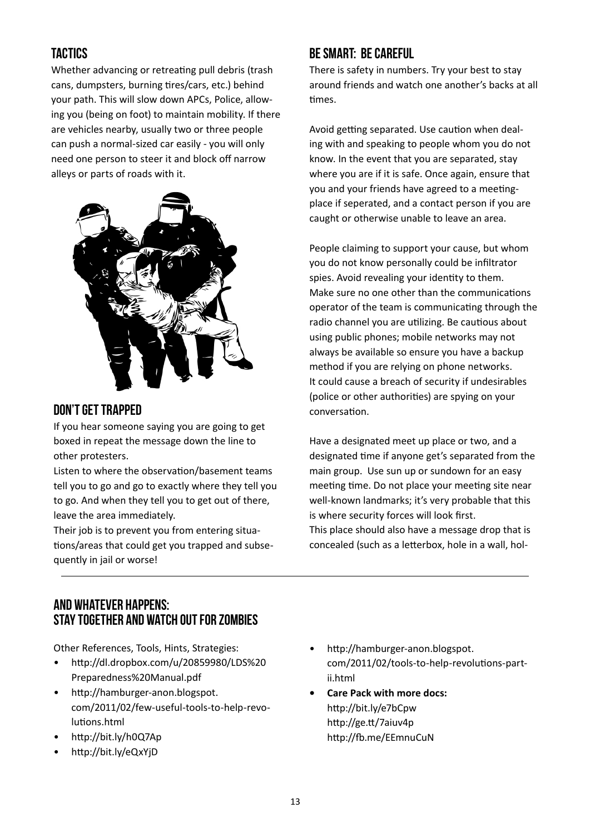#### **TACTICS**

Whether advancing or retreating pull debris (trash cans, dumpsters, burning tires/cars, etc.) behind your path. This will slow down APCs, Police, allowing you (being on foot) to maintain mobility. If there are vehicles nearby, usually two or three people can push a normal-sized car easily - you will only need one person to steer it and block off narrow alleys or parts of roads with it.



#### DON'T GET TRAPPED

If you hear someone saying you are going to get boxed in repeat the message down the line to other protesters.

Listen to where the observation/basement teams tell you to go and go to exactly where they tell you to go. And when they tell you to get out of there, leave the area immediately.

Their job is to prevent you from entering situations/areas that could get you trapped and subsequently in jail or worse!

#### Be Smart: Be Careful

There is safety in numbers. Try your best to stay around friends and watch one another's backs at all times.

Avoid getting separated. Use caution when dealing with and speaking to people whom you do not know. In the event that you are separated, stay where you are if it is safe. Once again, ensure that you and your friends have agreed to a meetingplace if seperated, and a contact person if you are caught or otherwise unable to leave an area.

People claiming to support your cause, but whom you do not know personally could be infiltrator spies. Avoid revealing your identity to them. Make sure no one other than the communications operator of the team is communicating through the radio channel you are utilizing. Be cautious about using public phones; mobile networks may not always be available so ensure you have a backup method if you are relying on phone networks. It could cause a breach of security if undesirables (police or other authorities) are spying on your conversation.

Have a designated meet up place or two, and a designated time if anyone get's separated from the main group. Use sun up or sundown for an easy meeting time. Do not place your meeting site near well-known landmarks; it's very probable that this is where security forces will look first. This place should also have a message drop that is concealed (such as a letterbox, hole in a wall, hol-

#### AND WHATEVER HAPPENS: STAY TOGETHER AND WATCH OUT FOR ZOMBIES

Other References, Tools, Hints, Strategies:

- [http://dl.dropbox.com/u/20859980/LDS%20](http://dl.dropbox.com/u/20859980/LDS%20Preparedness%20Manual.pdf) [Preparedness%20Manual.pdf](http://dl.dropbox.com/u/20859980/LDS%20Preparedness%20Manual.pdf)
- [http://hamburger-anon.blogspot.](http://hamburger-anon.blogspot.com/2011/02/few-useful-tools-to-help-revolutions.html) [com/2011/02/few-useful-tools-to-help-revo](http://hamburger-anon.blogspot.com/2011/02/few-useful-tools-to-help-revolutions.html)[lutions.html](http://hamburger-anon.blogspot.com/2011/02/few-useful-tools-to-help-revolutions.html)
- <http://bit.ly/h0Q7Ap>
- <http://bit.ly/eQxYjD>
- [http://hamburger-anon.blogspot.](http://hamburger-anon.blogspot.com/2011/02/tools-to-help-revolutions-part-ii.html) [com/2011/02/tools-to-help-revolutions-part](http://hamburger-anon.blogspot.com/2011/02/tools-to-help-revolutions-part-ii.html)[ii.html](http://hamburger-anon.blogspot.com/2011/02/tools-to-help-revolutions-part-ii.html)
- **• Care Pack with more docs:** <http://bit.ly/e7bCpw> <http://ge.tt/7aiuv4p> <http://fb.me/EEmnuCuN>